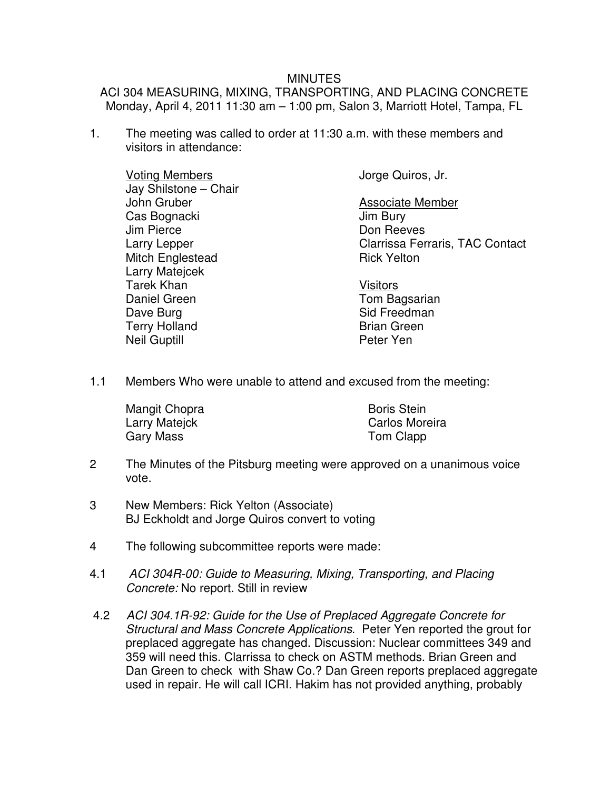## MINUTES

ACI 304 MEASURING, MIXING, TRANSPORTING, AND PLACING CONCRETE Monday, April 4, 2011 11:30 am – 1:00 pm, Salon 3, Marriott Hotel, Tampa, FL

1. The meeting was called to order at 11:30 a.m. with these members and visitors in attendance:

 Voting Members Jay Shilstone – Chair John Gruber Cas Bognacki Jim Pierce Larry Lepper Mitch Englestead Larry Matejcek Tarek Khan Daniel Green Dave Burg Terry Holland Neil Guptill

Jorge Quiros, Jr.

Associate Member Jim Bury Don Reeves Clarrissa Ferraris, TAC Contact Rick Yelton

Visitors Tom Bagsarian Sid Freedman Brian Green Peter Yen

1.1 Members Who were unable to attend and excused from the meeting:

| Mangit Chopra | <b>Boris Stein</b> |
|---------------|--------------------|
| Larry Matejck | Carlos Moreira     |
| Gary Mass     | Tom Clapp          |

- 2 The Minutes of the Pitsburg meeting were approved on a unanimous voice vote.
- 3 New Members: Rick Yelton (Associate) BJ Eckholdt and Jorge Quiros convert to voting
- 4 The following subcommittee reports were made:
- 4.1 ACI 304R-00: Guide to Measuring, Mixing, Transporting, and Placing Concrete: No report. Still in review
- 4.2 ACI 304.1R-92: Guide for the Use of Preplaced Aggregate Concrete for Structural and Mass Concrete Applications. Peter Yen reported the grout for preplaced aggregate has changed. Discussion: Nuclear committees 349 and 359 will need this. Clarrissa to check on ASTM methods. Brian Green and Dan Green to check with Shaw Co.? Dan Green reports preplaced aggregate used in repair. He will call ICRI. Hakim has not provided anything, probably